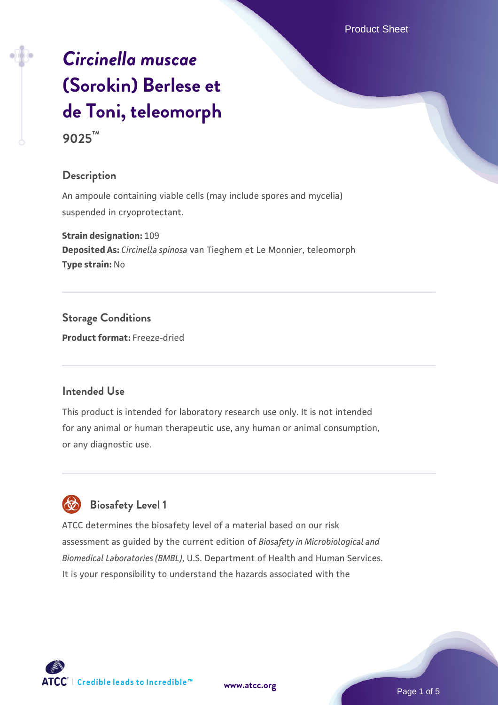# *[Circinella muscae](https://www.atcc.org/products/9025)* **[\(Sorokin\) Berlese et](https://www.atcc.org/products/9025) [de Toni, teleomorph](https://www.atcc.org/products/9025)**

# **9025™**

# **Description**

An ampoule containing viable cells (may include spores and mycelia) suspended in cryoprotectant.

**Strain designation:** 109 **Deposited As:** *Circinella spinosa* van Tieghem et Le Monnier, teleomorph **Type strain:** No

**Storage Conditions Product format:** Freeze-dried

# **Intended Use**

This product is intended for laboratory research use only. It is not intended for any animal or human therapeutic use, any human or animal consumption, or any diagnostic use.



# **Biosafety Level 1**

ATCC determines the biosafety level of a material based on our risk assessment as guided by the current edition of *Biosafety in Microbiological and Biomedical Laboratories (BMBL)*, U.S. Department of Health and Human Services. It is your responsibility to understand the hazards associated with the

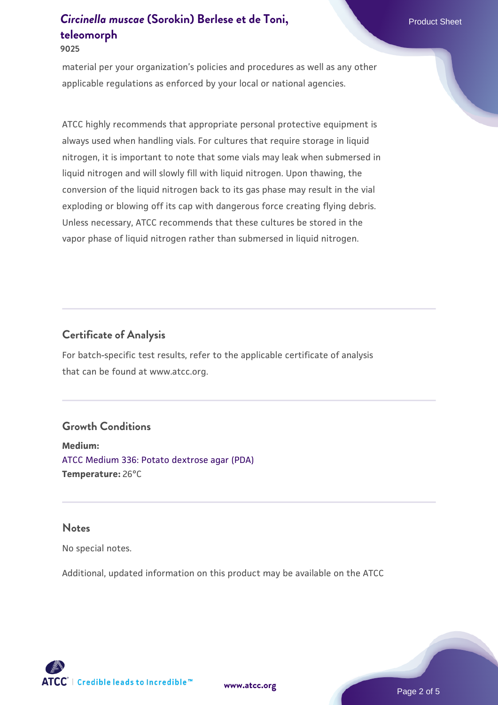#### **9025**

material per your organization's policies and procedures as well as any other applicable regulations as enforced by your local or national agencies.

ATCC highly recommends that appropriate personal protective equipment is always used when handling vials. For cultures that require storage in liquid nitrogen, it is important to note that some vials may leak when submersed in liquid nitrogen and will slowly fill with liquid nitrogen. Upon thawing, the conversion of the liquid nitrogen back to its gas phase may result in the vial exploding or blowing off its cap with dangerous force creating flying debris. Unless necessary, ATCC recommends that these cultures be stored in the vapor phase of liquid nitrogen rather than submersed in liquid nitrogen.

# **Certificate of Analysis**

For batch-specific test results, refer to the applicable certificate of analysis that can be found at www.atcc.org.

#### **Growth Conditions**

**Medium:**  [ATCC Medium 336: Potato dextrose agar \(PDA\)](https://www.atcc.org/-/media/product-assets/documents/microbial-media-formulations/3/3/6/atcc-medium-336.pdf?rev=d9160ad44d934cd8b65175461abbf3b9) **Temperature:** 26°C

#### **Notes**

No special notes.

Additional, updated information on this product may be available on the ATCC

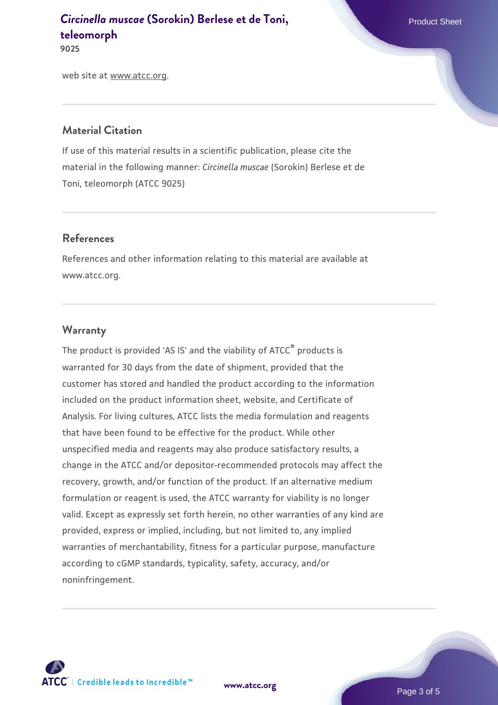**9025**

web site at www.atcc.org.

# **Material Citation**

If use of this material results in a scientific publication, please cite the material in the following manner: *Circinella muscae* (Sorokin) Berlese et de Toni, teleomorph (ATCC 9025)

# **References**

References and other information relating to this material are available at www.atcc.org.

# **Warranty**

The product is provided 'AS IS' and the viability of ATCC® products is warranted for 30 days from the date of shipment, provided that the customer has stored and handled the product according to the information included on the product information sheet, website, and Certificate of Analysis. For living cultures, ATCC lists the media formulation and reagents that have been found to be effective for the product. While other unspecified media and reagents may also produce satisfactory results, a change in the ATCC and/or depositor-recommended protocols may affect the recovery, growth, and/or function of the product. If an alternative medium formulation or reagent is used, the ATCC warranty for viability is no longer valid. Except as expressly set forth herein, no other warranties of any kind are provided, express or implied, including, but not limited to, any implied warranties of merchantability, fitness for a particular purpose, manufacture according to cGMP standards, typicality, safety, accuracy, and/or noninfringement.

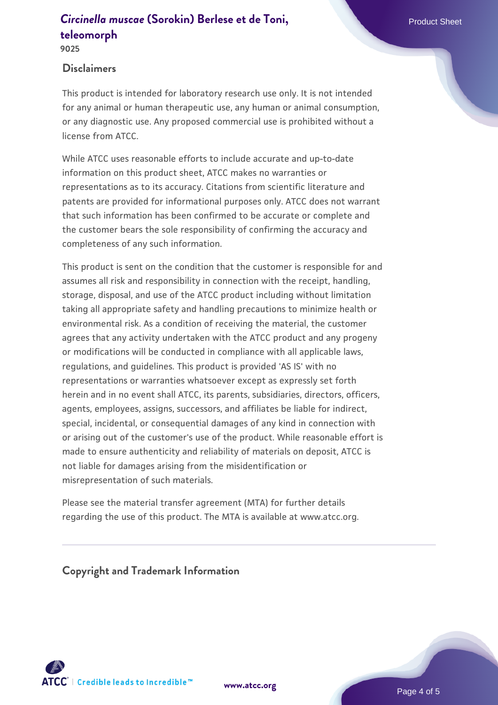# **Disclaimers**

This product is intended for laboratory research use only. It is not intended for any animal or human therapeutic use, any human or animal consumption, or any diagnostic use. Any proposed commercial use is prohibited without a license from ATCC.

While ATCC uses reasonable efforts to include accurate and up-to-date information on this product sheet, ATCC makes no warranties or representations as to its accuracy. Citations from scientific literature and patents are provided for informational purposes only. ATCC does not warrant that such information has been confirmed to be accurate or complete and the customer bears the sole responsibility of confirming the accuracy and completeness of any such information.

This product is sent on the condition that the customer is responsible for and assumes all risk and responsibility in connection with the receipt, handling, storage, disposal, and use of the ATCC product including without limitation taking all appropriate safety and handling precautions to minimize health or environmental risk. As a condition of receiving the material, the customer agrees that any activity undertaken with the ATCC product and any progeny or modifications will be conducted in compliance with all applicable laws, regulations, and guidelines. This product is provided 'AS IS' with no representations or warranties whatsoever except as expressly set forth herein and in no event shall ATCC, its parents, subsidiaries, directors, officers, agents, employees, assigns, successors, and affiliates be liable for indirect, special, incidental, or consequential damages of any kind in connection with or arising out of the customer's use of the product. While reasonable effort is made to ensure authenticity and reliability of materials on deposit, ATCC is not liable for damages arising from the misidentification or misrepresentation of such materials.

Please see the material transfer agreement (MTA) for further details regarding the use of this product. The MTA is available at www.atcc.org.

**Copyright and Trademark Information**